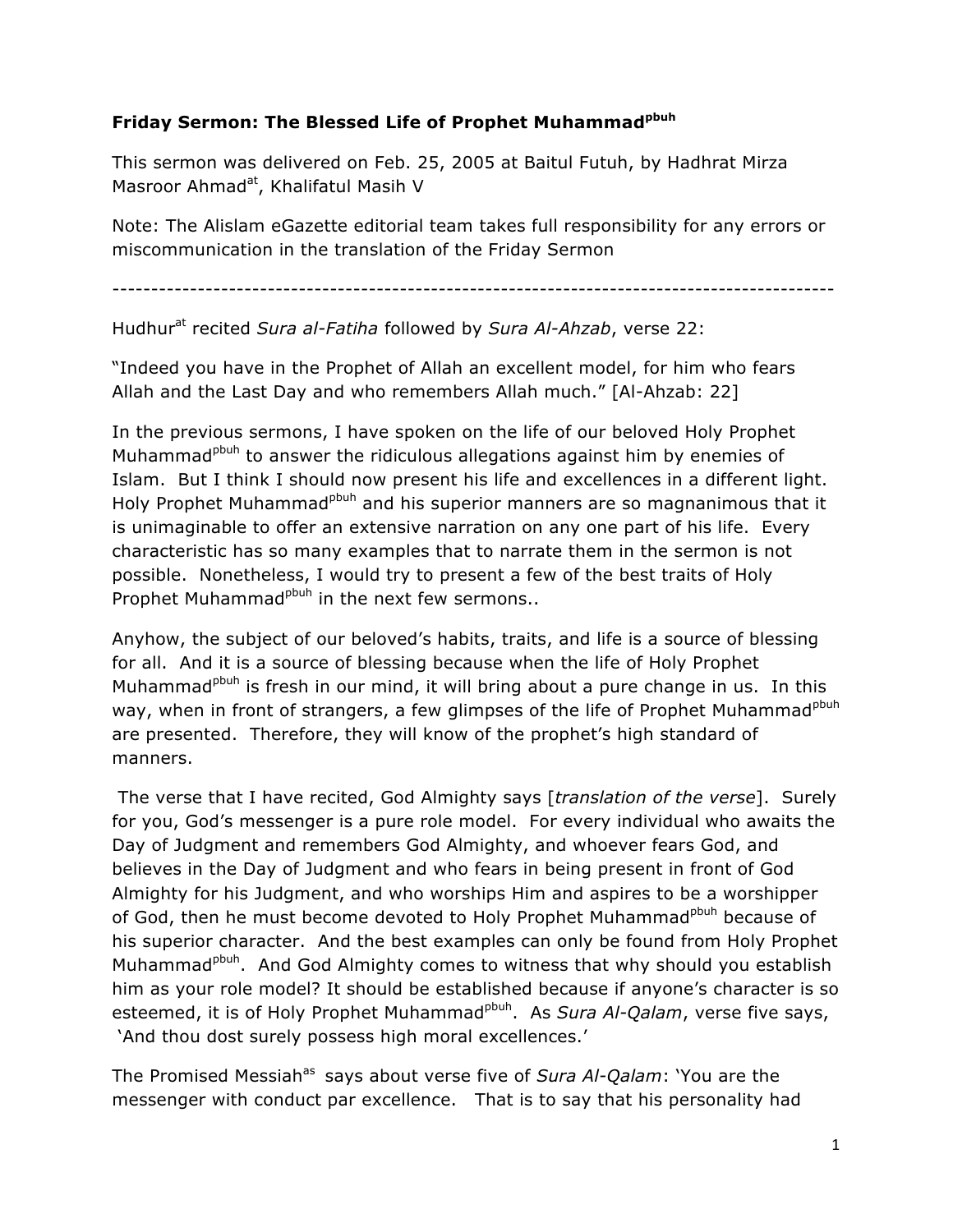## **Friday Sermon: The Blessed Life of Prophet Muhammadpbuh**

This sermon was delivered on Feb. 25, 2005 at Baitul Futuh, by Hadhrat Mirza Masroor Ahmad<sup>at</sup>, Khalifatul Masih V

Note: The Alislam eGazette editorial team takes full responsibility for any errors or miscommunication in the translation of the Friday Sermon

---------------------------------------------------------------------------------------------

Hudhur<sup>at</sup> recited *Sura al-Fatiha* followed by *Sura Al-Ahzab*, verse 22:

"Indeed you have in the Prophet of Allah an excellent model, for him who fears Allah and the Last Day and who remembers Allah much." [Al-Ahzab: 22]

In the previous sermons, I have spoken on the life of our beloved Holy Prophet Muhammad<sup>pbuh</sup> to answer the ridiculous allegations against him by enemies of Islam. But I think I should now present his life and excellences in a different light. Holy Prophet Muhammad<sup>pbuh</sup> and his superior manners are so magnanimous that it is unimaginable to offer an extensive narration on any one part of his life. Every characteristic has so many examples that to narrate them in the sermon is not possible. Nonetheless, I would try to present a few of the best traits of Holy Prophet Muhammad<sup>pbuh</sup> in the next few sermons..

Anyhow, the subject of our beloved's habits, traits, and life is a source of blessing for all. And it is a source of blessing because when the life of Holy Prophet Muhammad<sup>pbuh</sup> is fresh in our mind, it will bring about a pure change in us. In this way, when in front of strangers, a few glimpses of the life of Prophet Muhammad<sup>pbuh</sup> are presented. Therefore, they will know of the prophet's high standard of manners.

The verse that I have recited, God Almighty says [*translation of the verse*]. Surely for you, God's messenger is a pure role model. For every individual who awaits the Day of Judgment and remembers God Almighty, and whoever fears God, and believes in the Day of Judgment and who fears in being present in front of God Almighty for his Judgment, and who worships Him and aspires to be a worshipper of God, then he must become devoted to Holy Prophet Muhammad<sup>pbuh</sup> because of his superior character. And the best examples can only be found from Holy Prophet Muhammad<sup>pbuh</sup>. And God Almighty comes to witness that why should you establish him as your role model? It should be established because if anyone's character is so esteemed, it is of Holy Prophet Muhammad<sup>pbuh</sup>. As *Sura Al-Qalam*, verse five says, 'And thou dost surely possess high moral excellences.'

The Promised Messiah<sup>as</sup> says about verse five of *Sura Al-Qalam*: 'You are the messenger with conduct par excellence. That is to say that his personality had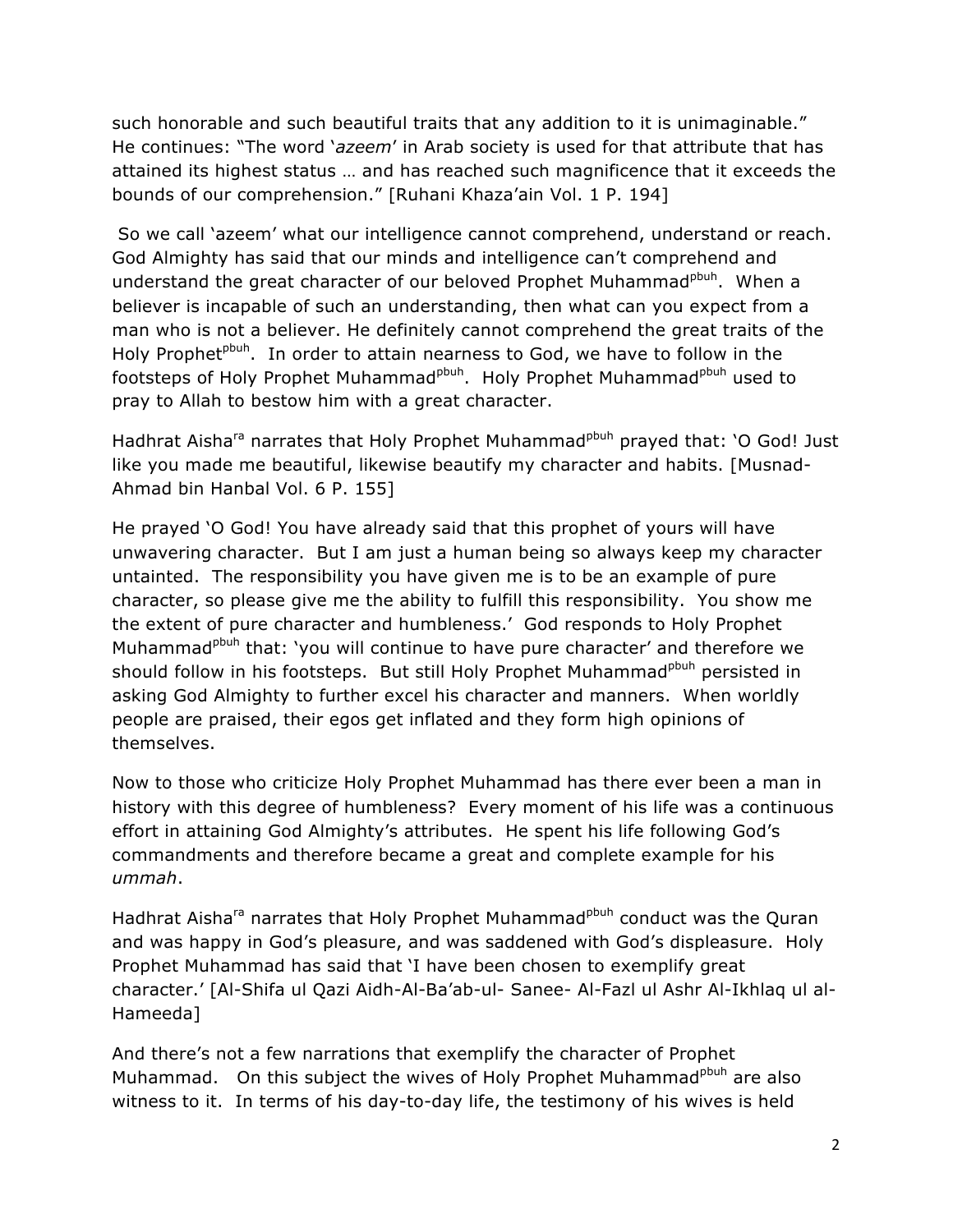such honorable and such beautiful traits that any addition to it is unimaginable." He continues: "The word '*azeem*' in Arab society is used for that attribute that has attained its highest status … and has reached such magnificence that it exceeds the bounds of our comprehension." [Ruhani Khaza'ain Vol. 1 P. 194]

So we call 'azeem' what our intelligence cannot comprehend, understand or reach. God Almighty has said that our minds and intelligence can't comprehend and understand the great character of our beloved Prophet Muhammad<sup>pbuh</sup>. When a believer is incapable of such an understanding, then what can you expect from a man who is not a believer. He definitely cannot comprehend the great traits of the Holy Prophet<sup>pbuh</sup>. In order to attain nearness to God, we have to follow in the footsteps of Holy Prophet Muhammad<sup>pbuh</sup>. Holy Prophet Muhammad<sup>pbuh</sup> used to pray to Allah to bestow him with a great character.

Hadhrat Aisha<sup>ra</sup> narrates that Holy Prophet Muhammad<sup>pbuh</sup> prayed that: 'O God! Just like you made me beautiful, likewise beautify my character and habits. [Musnad-Ahmad bin Hanbal Vol. 6 P. 155]

He prayed 'O God! You have already said that this prophet of yours will have unwavering character. But I am just a human being so always keep my character untainted. The responsibility you have given me is to be an example of pure character, so please give me the ability to fulfill this responsibility. You show me the extent of pure character and humbleness.' God responds to Holy Prophet Muhammad<sup>pbuh</sup> that: 'you will continue to have pure character' and therefore we should follow in his footsteps. But still Holy Prophet Muhammad<sup>pbuh</sup> persisted in asking God Almighty to further excel his character and manners. When worldly people are praised, their egos get inflated and they form high opinions of themselves.

Now to those who criticize Holy Prophet Muhammad has there ever been a man in history with this degree of humbleness? Every moment of his life was a continuous effort in attaining God Almighty's attributes. He spent his life following God's commandments and therefore became a great and complete example for his *ummah*.

Hadhrat Aisha<sup>ra</sup> narrates that Holy Prophet Muhammad<sup>pbuh</sup> conduct was the Quran and was happy in God's pleasure, and was saddened with God's displeasure. Holy Prophet Muhammad has said that 'I have been chosen to exemplify great character.' [Al-Shifa ul Qazi Aidh-Al-Ba'ab-ul- Sanee- Al-Fazl ul Ashr Al-Ikhlaq ul al-Hameeda]

And there's not a few narrations that exemplify the character of Prophet Muhammad. On this subject the wives of Holy Prophet Muhammad<sup>pbuh</sup> are also witness to it. In terms of his day-to-day life, the testimony of his wives is held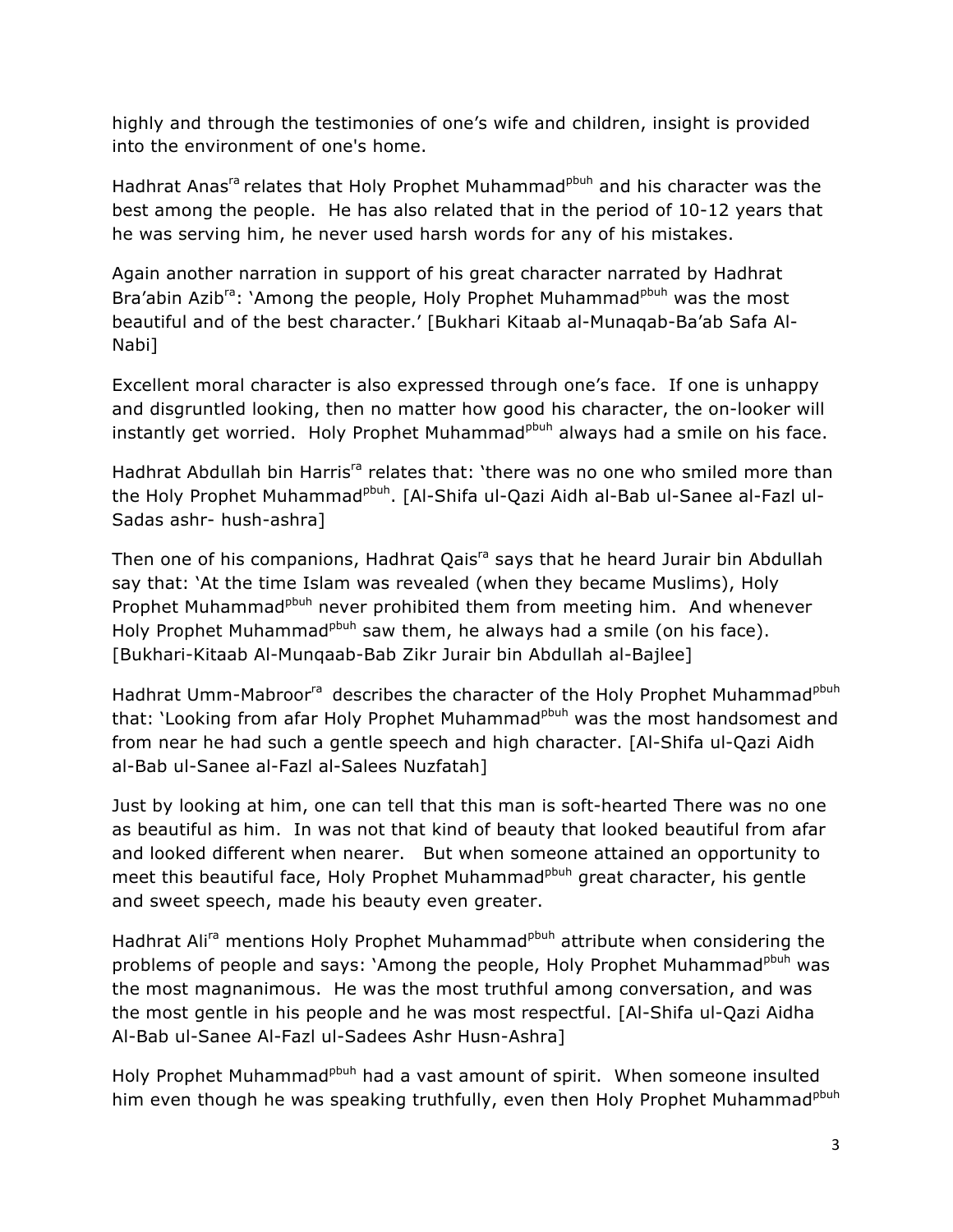highly and through the testimonies of one's wife and children, insight is provided into the environment of one's home.

Hadhrat Anas<sup>ra</sup> relates that Holy Prophet Muhammad<sup>pbuh</sup> and his character was the best among the people. He has also related that in the period of 10-12 years that he was serving him, he never used harsh words for any of his mistakes.

Again another narration in support of his great character narrated by Hadhrat Bra'abin Azib<sup>ra</sup>: 'Among the people, Holy Prophet Muhammad<sup>pbuh</sup> was the most beautiful and of the best character.' [Bukhari Kitaab al-Munaqab-Ba'ab Safa Al-Nabi]

Excellent moral character is also expressed through one's face. If one is unhappy and disgruntled looking, then no matter how good his character, the on-looker will instantly get worried. Holy Prophet Muhammad<sup>pbuh</sup> always had a smile on his face.

Hadhrat Abdullah bin Harris<sup>ra</sup> relates that: 'there was no one who smiled more than the Holy Prophet Muhammad<sup>pbuh</sup>. [Al-Shifa ul-Qazi Aidh al-Bab ul-Sanee al-Fazl ul-Sadas ashr- hush-ashra]

Then one of his companions, Hadhrat Qais<sup>ra</sup> says that he heard Jurair bin Abdullah say that: 'At the time Islam was revealed (when they became Muslims), Holy Prophet Muhammad<sup>pbuh</sup> never prohibited them from meeting him. And whenever Holy Prophet Muhammad<sup>pbuh</sup> saw them, he always had a smile (on his face). [Bukhari-Kitaab Al-Munqaab-Bab Zikr Jurair bin Abdullah al-Bajlee]

Hadhrat Umm-Mabroor<sup>ra</sup> describes the character of the Holy Prophet Muhammad<sup>pbuh</sup> that: 'Looking from afar Holy Prophet Muhammad<sup>pbuh</sup> was the most handsomest and from near he had such a gentle speech and high character. [Al-Shifa ul-Qazi Aidh al-Bab ul-Sanee al-Fazl al-Salees Nuzfatah]

Just by looking at him, one can tell that this man is soft-hearted There was no one as beautiful as him. In was not that kind of beauty that looked beautiful from afar and looked different when nearer. But when someone attained an opportunity to meet this beautiful face, Holy Prophet Muhammad<sup>pbuh</sup> great character, his gentle and sweet speech, made his beauty even greater.

Hadhrat Ali<sup>ra</sup> mentions Holy Prophet Muhammad<sup>pbuh</sup> attribute when considering the problems of people and says: 'Among the people, Holy Prophet Muhammad<sup>pbuh</sup> was the most magnanimous. He was the most truthful among conversation, and was the most gentle in his people and he was most respectful. [Al-Shifa ul-Qazi Aidha Al-Bab ul-Sanee Al-Fazl ul-Sadees Ashr Husn-Ashra]

Holy Prophet Muhammad<sup>pbuh</sup> had a vast amount of spirit. When someone insulted him even though he was speaking truthfully, even then Holy Prophet Muhammad<sup>pbuh</sup>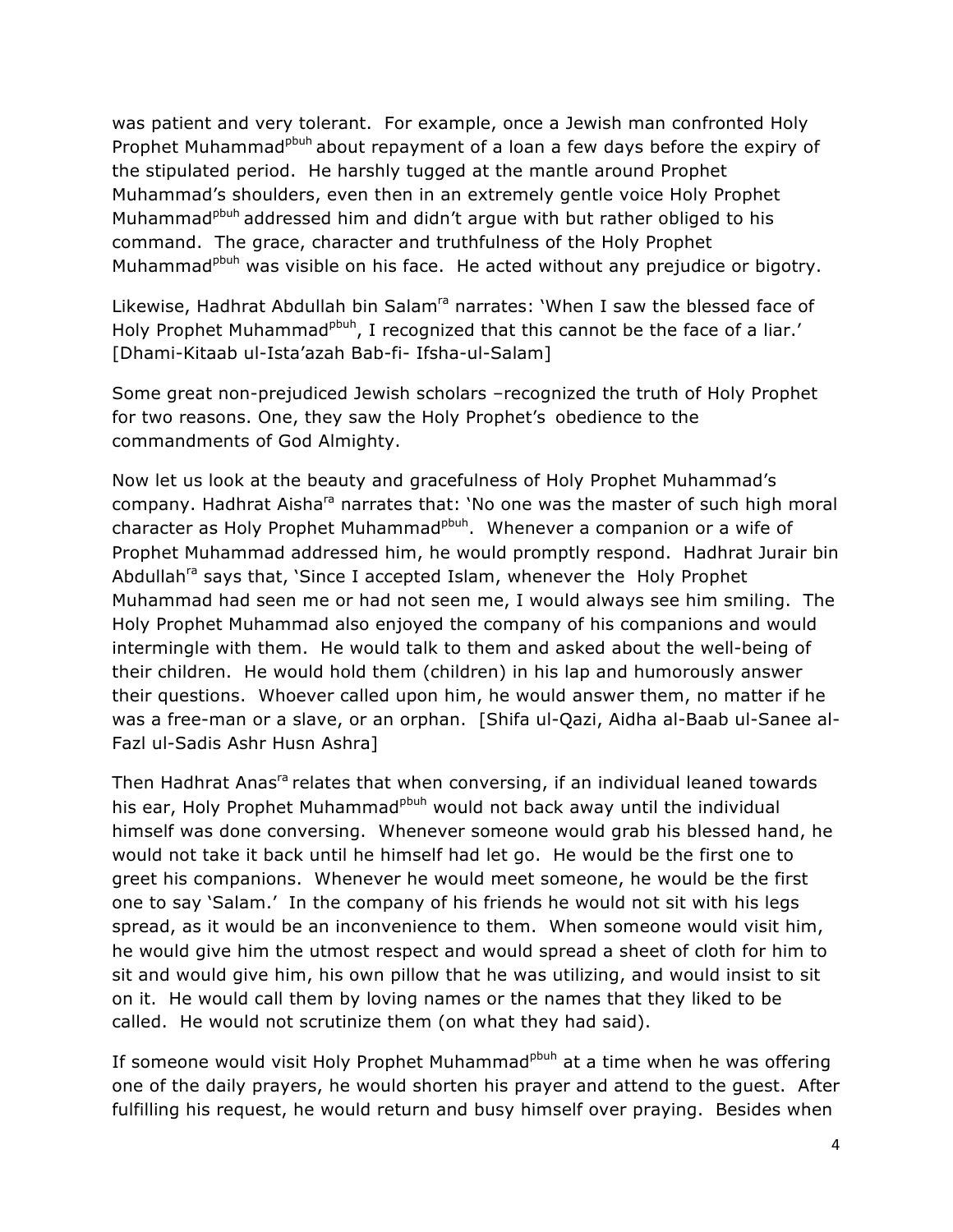was patient and very tolerant. For example, once a Jewish man confronted Holy Prophet Muhammad<sup>pbuh</sup> about repayment of a loan a few days before the expiry of the stipulated period. He harshly tugged at the mantle around Prophet Muhammad's shoulders, even then in an extremely gentle voice Holy Prophet Muhammad<sup>pbuh</sup> addressed him and didn't argue with but rather obliged to his command. The grace, character and truthfulness of the Holy Prophet Muhammad<sup>pbuh</sup> was visible on his face. He acted without any prejudice or bigotry.

Likewise, Hadhrat Abdullah bin Salam<sup>ra</sup> narrates: 'When I saw the blessed face of Holy Prophet Muhammad<sup>pbuh</sup>, I recognized that this cannot be the face of a liar.' [Dhami-Kitaab ul-Ista'azah Bab-fi- Ifsha-ul-Salam]

Some great non-prejudiced Jewish scholars –recognized the truth of Holy Prophet for two reasons. One, they saw the Holy Prophet's obedience to the commandments of God Almighty.

Now let us look at the beauty and gracefulness of Holy Prophet Muhammad's company. Hadhrat Aisha<sup>ra</sup> narrates that: 'No one was the master of such high moral character as Holy Prophet Muhammad<sup>pbuh</sup>. Whenever a companion or a wife of Prophet Muhammad addressed him, he would promptly respond. Hadhrat Jurair bin Abdullah<sup>ra</sup> says that, 'Since I accepted Islam, whenever the Holy Prophet Muhammad had seen me or had not seen me, I would always see him smiling. The Holy Prophet Muhammad also enjoyed the company of his companions and would intermingle with them. He would talk to them and asked about the well-being of their children. He would hold them (children) in his lap and humorously answer their questions. Whoever called upon him, he would answer them, no matter if he was a free-man or a slave, or an orphan. [Shifa ul-Qazi, Aidha al-Baab ul-Sanee al-Fazl ul-Sadis Ashr Husn Ashra]

Then Hadhrat Anas<sup>ra</sup> relates that when conversing, if an individual leaned towards his ear, Holy Prophet Muhammad<sup>pbuh</sup> would not back away until the individual himself was done conversing. Whenever someone would grab his blessed hand, he would not take it back until he himself had let go. He would be the first one to greet his companions. Whenever he would meet someone, he would be the first one to say 'Salam.' In the company of his friends he would not sit with his legs spread, as it would be an inconvenience to them. When someone would visit him, he would give him the utmost respect and would spread a sheet of cloth for him to sit and would give him, his own pillow that he was utilizing, and would insist to sit on it. He would call them by loving names or the names that they liked to be called. He would not scrutinize them (on what they had said).

If someone would visit Holy Prophet Muhammad<sup>pbuh</sup> at a time when he was offering one of the daily prayers, he would shorten his prayer and attend to the guest. After fulfilling his request, he would return and busy himself over praying. Besides when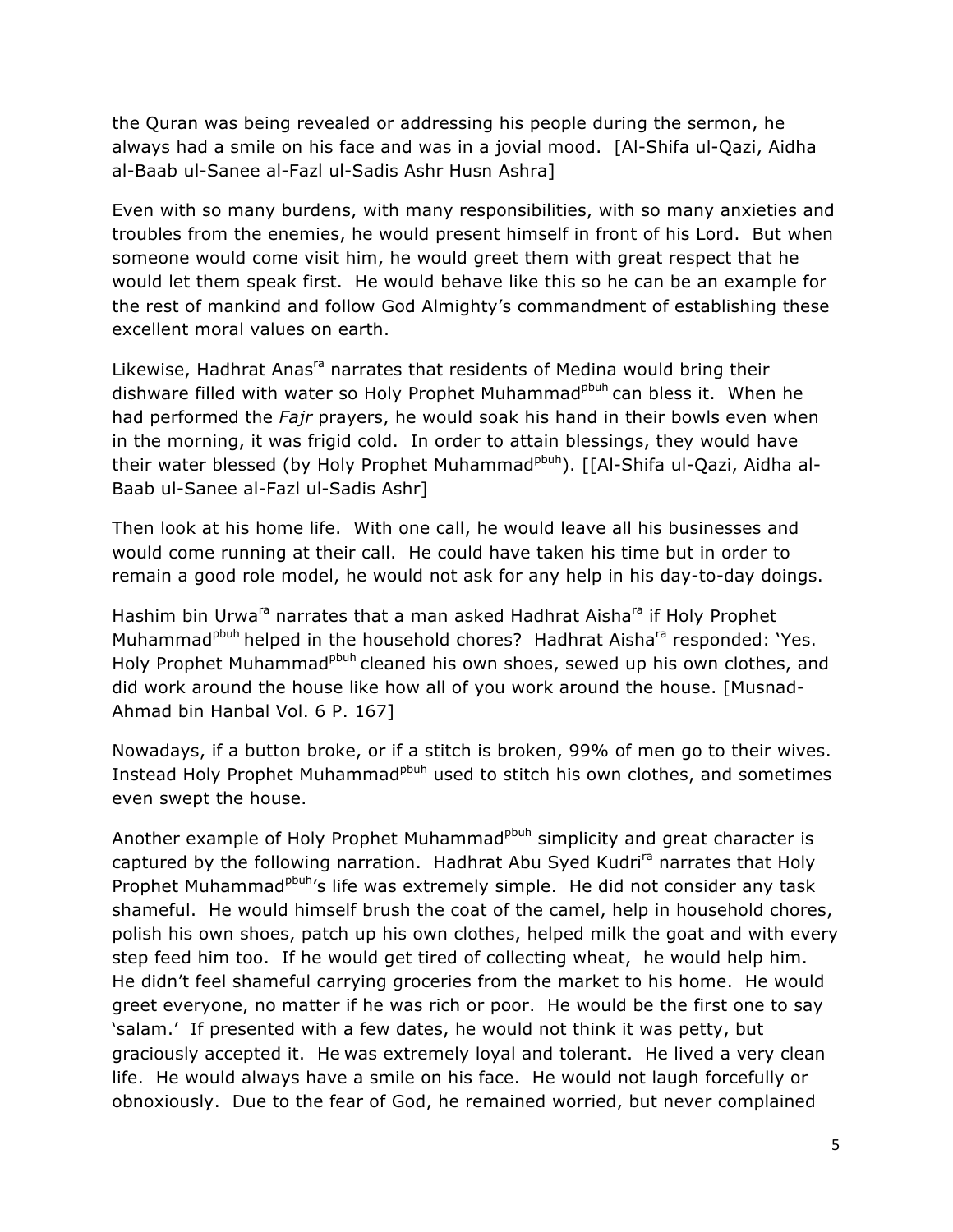the Quran was being revealed or addressing his people during the sermon, he always had a smile on his face and was in a jovial mood. [Al-Shifa ul-Qazi, Aidha al-Baab ul-Sanee al-Fazl ul-Sadis Ashr Husn Ashra]

Even with so many burdens, with many responsibilities, with so many anxieties and troubles from the enemies, he would present himself in front of his Lord. But when someone would come visit him, he would greet them with great respect that he would let them speak first. He would behave like this so he can be an example for the rest of mankind and follow God Almighty's commandment of establishing these excellent moral values on earth.

Likewise, Hadhrat Anas<sup>ra</sup> narrates that residents of Medina would bring their dishware filled with water so Holy Prophet Muhammad<sup>pbuh</sup> can bless it. When he had performed the *Fajr* prayers, he would soak his hand in their bowls even when in the morning, it was frigid cold. In order to attain blessings, they would have their water blessed (by Holy Prophet Muhammad<sup>pbuh</sup>). [[Al-Shifa ul-Qazi, Aidha al-Baab ul-Sanee al-Fazl ul-Sadis Ashr]

Then look at his home life. With one call, he would leave all his businesses and would come running at their call. He could have taken his time but in order to remain a good role model, he would not ask for any help in his day-to-day doings.

Hashim bin Urwa<sup>ra</sup> narrates that a man asked Hadhrat Aishara if Holy Prophet Muhammad<sup>pbuh</sup> helped in the household chores? Hadhrat Aisha<sup>ra</sup> responded: 'Yes. Holy Prophet Muhammad<sup>pbuh</sup> cleaned his own shoes, sewed up his own clothes, and did work around the house like how all of you work around the house. [Musnad-Ahmad bin Hanbal Vol. 6 P. 167]

Nowadays, if a button broke, or if a stitch is broken, 99% of men go to their wives. Instead Holy Prophet Muhammad<sup>pbuh</sup> used to stitch his own clothes, and sometimes even swept the house.

Another example of Holy Prophet Muhammad<sup>pbuh</sup> simplicity and great character is captured by the following narration. Hadhrat Abu Syed Kudri<sup>ra</sup> narrates that Holy Prophet Muhammad<sup>pbuh</sup>'s life was extremely simple. He did not consider any task shameful. He would himself brush the coat of the camel, help in household chores, polish his own shoes, patch up his own clothes, helped milk the goat and with every step feed him too. If he would get tired of collecting wheat, he would help him. He didn't feel shameful carrying groceries from the market to his home. He would greet everyone, no matter if he was rich or poor. He would be the first one to say 'salam.' If presented with a few dates, he would not think it was petty, but graciously accepted it. He was extremely loyal and tolerant. He lived a very clean life. He would always have a smile on his face. He would not laugh forcefully or obnoxiously. Due to the fear of God, he remained worried, but never complained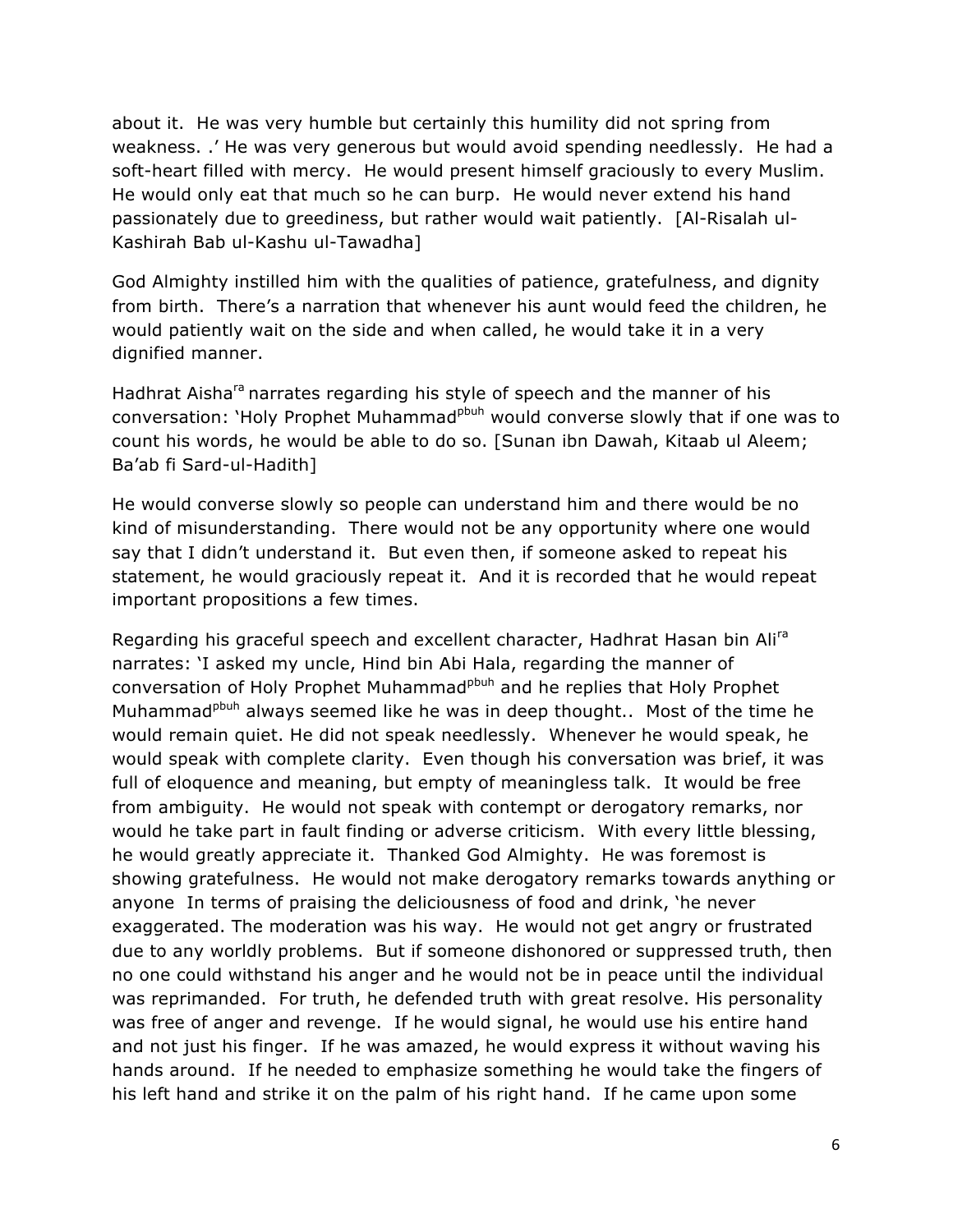about it. He was very humble but certainly this humility did not spring from weakness. .' He was very generous but would avoid spending needlessly. He had a soft-heart filled with mercy. He would present himself graciously to every Muslim. He would only eat that much so he can burp. He would never extend his hand passionately due to greediness, but rather would wait patiently. [Al-Risalah ul-Kashirah Bab ul-Kashu ul-Tawadha]

God Almighty instilled him with the qualities of patience, gratefulness, and dignity from birth. There's a narration that whenever his aunt would feed the children, he would patiently wait on the side and when called, he would take it in a very dignified manner.

Hadhrat Aisha<sup>ra</sup> narrates regarding his style of speech and the manner of his conversation: 'Holy Prophet Muhammad<sup>pbuh</sup> would converse slowly that if one was to count his words, he would be able to do so. [Sunan ibn Dawah, Kitaab ul Aleem; Ba'ab fi Sard-ul-Hadith]

He would converse slowly so people can understand him and there would be no kind of misunderstanding. There would not be any opportunity where one would say that I didn't understand it. But even then, if someone asked to repeat his statement, he would graciously repeat it. And it is recorded that he would repeat important propositions a few times.

Regarding his graceful speech and excellent character, Hadhrat Hasan bin Alira narrates: 'I asked my uncle, Hind bin Abi Hala, regarding the manner of conversation of Holy Prophet Muhammad<sup>pbuh</sup> and he replies that Holy Prophet Muhammad<sup>pbuh</sup> always seemed like he was in deep thought.. Most of the time he would remain quiet. He did not speak needlessly. Whenever he would speak, he would speak with complete clarity. Even though his conversation was brief, it was full of eloquence and meaning, but empty of meaningless talk. It would be free from ambiguity. He would not speak with contempt or derogatory remarks, nor would he take part in fault finding or adverse criticism. With every little blessing, he would greatly appreciate it. Thanked God Almighty. He was foremost is showing gratefulness. He would not make derogatory remarks towards anything or anyone In terms of praising the deliciousness of food and drink, 'he never exaggerated. The moderation was his way. He would not get angry or frustrated due to any worldly problems. But if someone dishonored or suppressed truth, then no one could withstand his anger and he would not be in peace until the individual was reprimanded. For truth, he defended truth with great resolve. His personality was free of anger and revenge. If he would signal, he would use his entire hand and not just his finger. If he was amazed, he would express it without waving his hands around. If he needed to emphasize something he would take the fingers of his left hand and strike it on the palm of his right hand. If he came upon some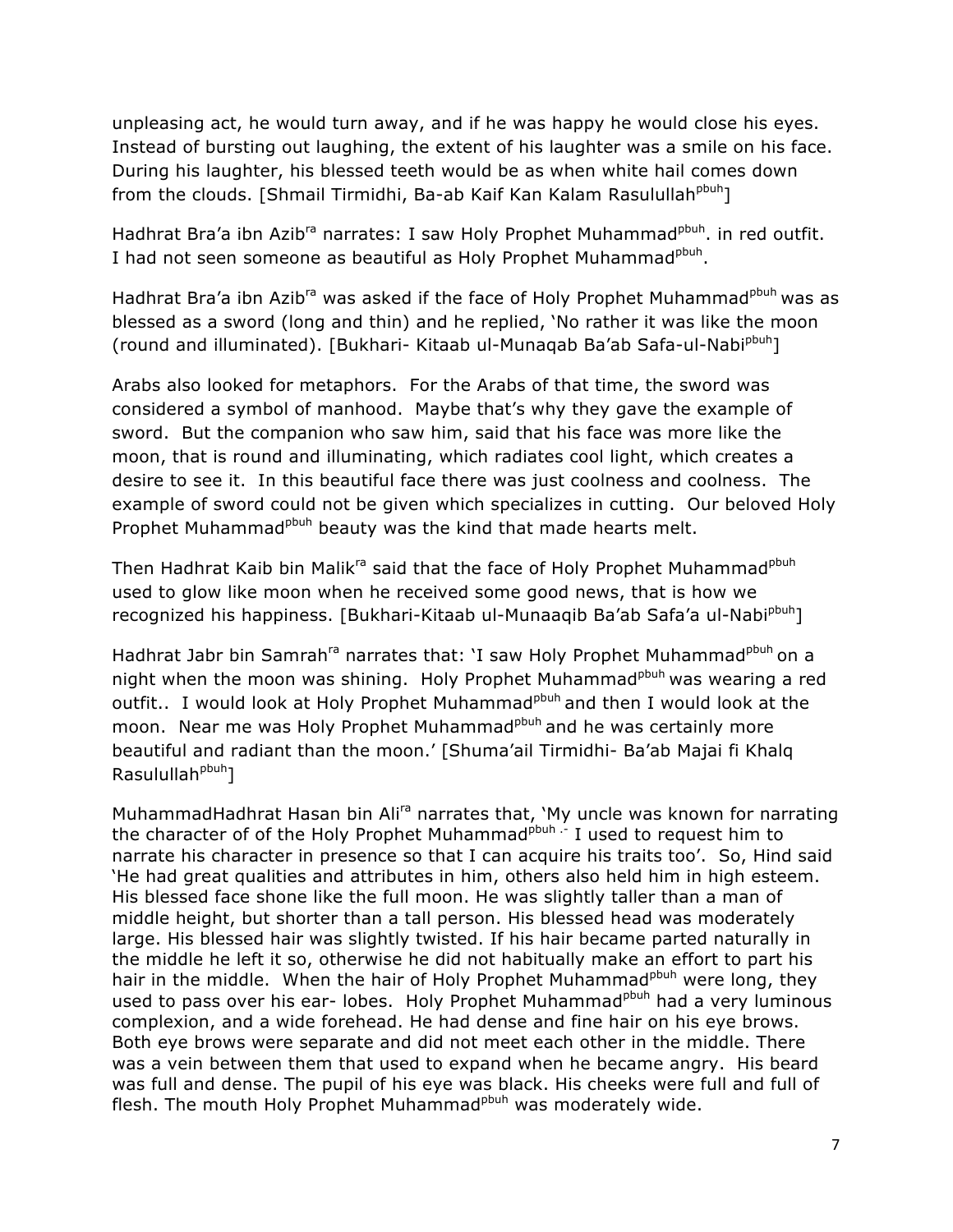unpleasing act, he would turn away, and if he was happy he would close his eyes. Instead of bursting out laughing, the extent of his laughter was a smile on his face. During his laughter, his blessed teeth would be as when white hail comes down from the clouds. [Shmail Tirmidhi, Ba-ab Kaif Kan Kalam Rasulullah<sup>pbuh</sup>]

Hadhrat Bra'a ibn Azib<sup>ra</sup> narrates: I saw Holy Prophet Muhammad<sup>pbuh</sup>. in red outfit. I had not seen someone as beautiful as Holy Prophet Muhammad<sup>pbuh</sup>.

Hadhrat Bra'a ibn Azib<sup>ra</sup> was asked if the face of Holy Prophet Muhammad<sup>pbuh</sup> was as blessed as a sword (long and thin) and he replied, 'No rather it was like the moon (round and illuminated). [Bukhari- Kitaab ul-Munaqab Ba'ab Safa-ul-Nabipbuh]

Arabs also looked for metaphors. For the Arabs of that time, the sword was considered a symbol of manhood. Maybe that's why they gave the example of sword. But the companion who saw him, said that his face was more like the moon, that is round and illuminating, which radiates cool light, which creates a desire to see it. In this beautiful face there was just coolness and coolness. The example of sword could not be given which specializes in cutting. Our beloved Holy Prophet Muhammad<sup>pbuh</sup> beauty was the kind that made hearts melt.

Then Hadhrat Kaib bin Malik<sup>ra</sup> said that the face of Holy Prophet Muhammad<sup>pbuh</sup> used to glow like moon when he received some good news, that is how we recognized his happiness. [Bukhari-Kitaab ul-Munaaqib Ba'ab Safa'a ul-Nabi<sup>pbuh</sup>]

Hadhrat Jabr bin Samrah<sup>ra</sup> narrates that: 'I saw Holy Prophet Muhammad<sup>pbuh</sup> on a night when the moon was shining. Holy Prophet Muhammad<sup>pbuh</sup> was wearing a red outfit.. I would look at Holy Prophet Muhammad<sup>pbuh</sup> and then I would look at the moon. Near me was Holy Prophet Muhammad<sup>pbuh</sup> and he was certainly more beautiful and radiant than the moon.' [Shuma'ail Tirmidhi- Ba'ab Majai fi Khalq Rasulullah<sup>pbuh</sup>]

MuhammadHadhrat Hasan bin Alira narrates that, 'My uncle was known for narrating the character of of the Holy Prophet Muhammad $P_{\text{pub}}$  .- I used to request him to narrate his character in presence so that I can acquire his traits too'. So, Hind said 'He had great qualities and attributes in him, others also held him in high esteem. His blessed face shone like the full moon. He was slightly taller than a man of middle height, but shorter than a tall person. His blessed head was moderately large. His blessed hair was slightly twisted. If his hair became parted naturally in the middle he left it so, otherwise he did not habitually make an effort to part his hair in the middle. When the hair of Holy Prophet Muhammad<sup>pbuh</sup> were long, they used to pass over his ear- lobes. Holy Prophet Muhammad<sup>pbuh</sup> had a very luminous complexion, and a wide forehead. He had dense and fine hair on his eye brows. Both eye brows were separate and did not meet each other in the middle. There was a vein between them that used to expand when he became angry. His beard was full and dense. The pupil of his eye was black. His cheeks were full and full of flesh. The mouth Holy Prophet Muhammad<sup>pbuh</sup> was moderately wide.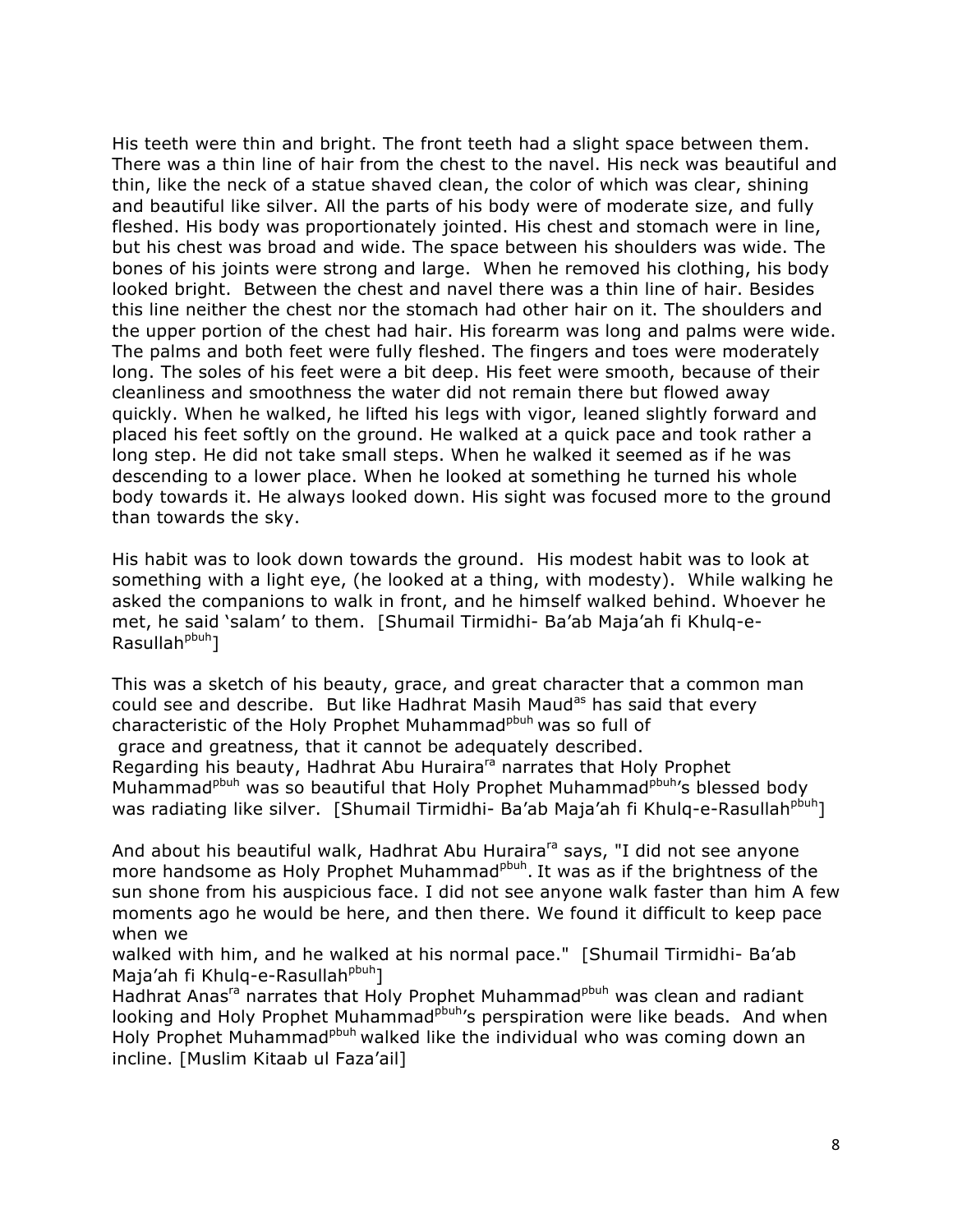His teeth were thin and bright. The front teeth had a slight space between them. There was a thin line of hair from the chest to the navel. His neck was beautiful and thin, like the neck of a statue shaved clean, the color of which was clear, shining and beautiful like silver. All the parts of his body were of moderate size, and fully fleshed. His body was proportionately jointed. His chest and stomach were in line, but his chest was broad and wide. The space between his shoulders was wide. The bones of his joints were strong and large. When he removed his clothing, his body looked bright. Between the chest and navel there was a thin line of hair. Besides this line neither the chest nor the stomach had other hair on it. The shoulders and the upper portion of the chest had hair. His forearm was long and palms were wide. The palms and both feet were fully fleshed. The fingers and toes were moderately long. The soles of his feet were a bit deep. His feet were smooth, because of their cleanliness and smoothness the water did not remain there but flowed away quickly. When he walked, he lifted his legs with vigor, leaned slightly forward and placed his feet softly on the ground. He walked at a quick pace and took rather a long step. He did not take small steps. When he walked it seemed as if he was descending to a lower place. When he looked at something he turned his whole body towards it. He always looked down. His sight was focused more to the ground than towards the sky.

His habit was to look down towards the ground. His modest habit was to look at something with a light eye, (he looked at a thing, with modesty). While walking he asked the companions to walk in front, and he himself walked behind. Whoever he met, he said 'salam' to them. [Shumail Tirmidhi- Ba'ab Maja'ah fi Khulq-e- $Rasullah<sup>pbuh</sup>$ ]

This was a sketch of his beauty, grace, and great character that a common man could see and describe. But like Hadhrat Masih Maud<sup>as</sup> has said that every characteristic of the Holy Prophet Muhammad<sup>pbuh</sup> was so full of grace and greatness, that it cannot be adequately described. Regarding his beauty, Hadhrat Abu Huraira<sup>ra</sup> narrates that Holy Prophet Muhammad<sup>pbuh</sup> was so beautiful that Holy Prophet Muhammad<sup>pbuh</sup>'s blessed body was radiating like silver. [Shumail Tirmidhi- Ba'ab Maja'ah fi Khulq-e-Rasullah<sup>pbuh</sup>]

And about his beautiful walk, Hadhrat Abu Huraira<sup>ra</sup> says, "I did not see anyone more handsome as Holy Prophet Muhammad<sup>pbuh</sup>. It was as if the brightness of the sun shone from his auspicious face. I did not see anyone walk faster than him A few moments ago he would be here, and then there. We found it difficult to keep pace when we

walked with him, and he walked at his normal pace." [Shumail Tirmidhi- Ba'ab Maja'ah fi Khulg-e-Rasullah<sup>pbuh</sup>]

Hadhrat Anas<sup>ra</sup> narrates that Holy Prophet Muhammad<sup>pbuh</sup> was clean and radiant looking and Holy Prophet Muhammad<sup>pbuh</sup>'s perspiration were like beads. And when Holy Prophet Muhammad<sup>pbuh</sup> walked like the individual who was coming down an incline. [Muslim Kitaab ul Faza'ail]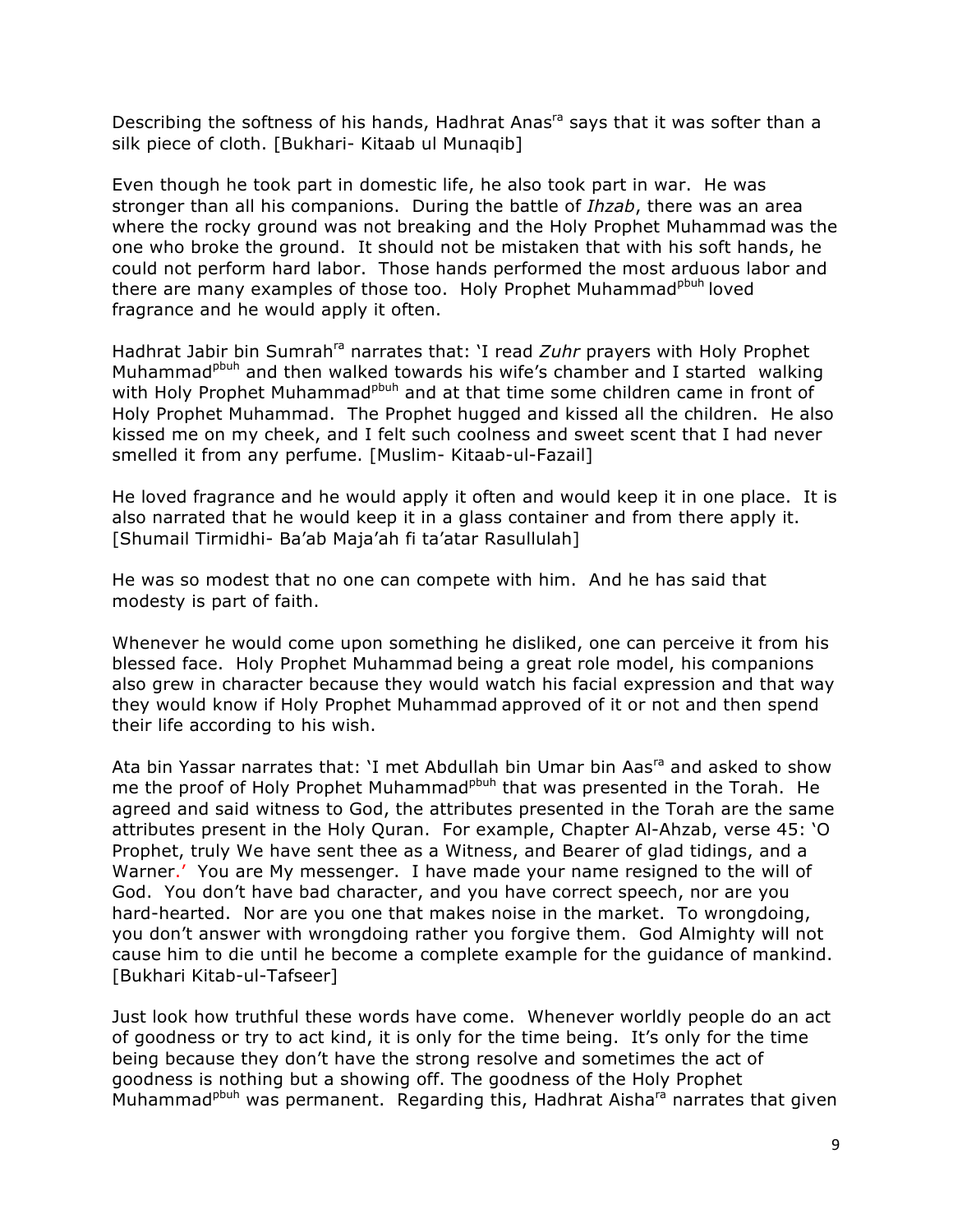Describing the softness of his hands, Hadhrat Anas<sup>ra</sup> says that it was softer than a silk piece of cloth. [Bukhari- Kitaab ul Munaqib]

Even though he took part in domestic life, he also took part in war. He was stronger than all his companions. During the battle of *Ihzab*, there was an area where the rocky ground was not breaking and the Holy Prophet Muhammad was the one who broke the ground. It should not be mistaken that with his soft hands, he could not perform hard labor. Those hands performed the most arduous labor and there are many examples of those too. Holy Prophet Muhammad<sup>pbuh</sup> loved fragrance and he would apply it often.

Hadhrat Jabir bin Sumrah<sup>ra</sup> narrates that: 'I read *Zuhr* prayers with Holy Prophet Muhammad<sup>pbuh</sup> and then walked towards his wife's chamber and I started walking with Holy Prophet Muhammad<sup>pbuh</sup> and at that time some children came in front of Holy Prophet Muhammad. The Prophet hugged and kissed all the children. He also kissed me on my cheek, and I felt such coolness and sweet scent that I had never smelled it from any perfume. [Muslim- Kitaab-ul-Fazail]

He loved fragrance and he would apply it often and would keep it in one place. It is also narrated that he would keep it in a glass container and from there apply it. [Shumail Tirmidhi- Ba'ab Maja'ah fi ta'atar Rasullulah]

He was so modest that no one can compete with him. And he has said that modesty is part of faith.

Whenever he would come upon something he disliked, one can perceive it from his blessed face. Holy Prophet Muhammad being a great role model, his companions also grew in character because they would watch his facial expression and that way they would know if Holy Prophet Muhammad approved of it or not and then spend their life according to his wish.

Ata bin Yassar narrates that: 'I met Abdullah bin Umar bin Aas<sup>ra</sup> and asked to show me the proof of Holy Prophet Muhammad<sup>pbuh</sup> that was presented in the Torah. He agreed and said witness to God, the attributes presented in the Torah are the same attributes present in the Holy Quran. For example, Chapter Al-Ahzab, verse 45: 'O Prophet, truly We have sent thee as a Witness, and Bearer of glad tidings, and a Warner.' You are My messenger. I have made your name resigned to the will of God. You don't have bad character, and you have correct speech, nor are you hard-hearted. Nor are you one that makes noise in the market. To wrongdoing, you don't answer with wrongdoing rather you forgive them. God Almighty will not cause him to die until he become a complete example for the guidance of mankind. [Bukhari Kitab-ul-Tafseer]

Just look how truthful these words have come. Whenever worldly people do an act of goodness or try to act kind, it is only for the time being. It's only for the time being because they don't have the strong resolve and sometimes the act of goodness is nothing but a showing off. The goodness of the Holy Prophet Muhammad<sup>pbuh</sup> was permanent. Regarding this, Hadhrat Aisha<sup>ra</sup> narrates that given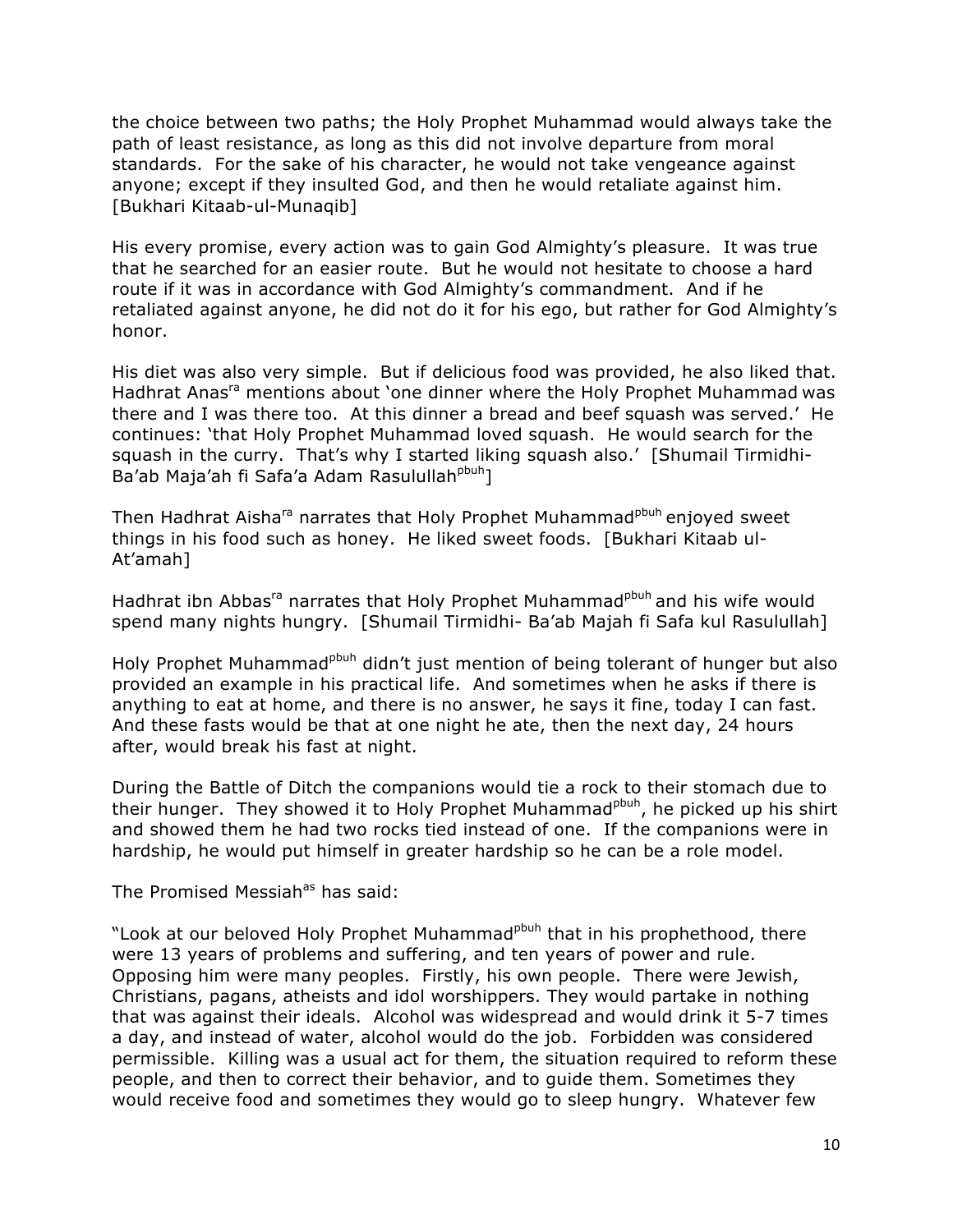the choice between two paths; the Holy Prophet Muhammad would always take the path of least resistance, as long as this did not involve departure from moral standards. For the sake of his character, he would not take vengeance against anyone; except if they insulted God, and then he would retaliate against him. [Bukhari Kitaab-ul-Munaqib]

His every promise, every action was to gain God Almighty's pleasure. It was true that he searched for an easier route. But he would not hesitate to choose a hard route if it was in accordance with God Almighty's commandment. And if he retaliated against anyone, he did not do it for his ego, but rather for God Almighty's honor.

His diet was also very simple. But if delicious food was provided, he also liked that. Hadhrat Anas<sup>ra</sup> mentions about 'one dinner where the Holy Prophet Muhammad was there and I was there too. At this dinner a bread and beef squash was served.' He continues: 'that Holy Prophet Muhammad loved squash. He would search for the squash in the curry. That's why I started liking squash also.' [Shumail Tirmidhi-Ba'ab Maja'ah fi Safa'a Adam Rasulullah<sup>pbuh</sup>l

Then Hadhrat Aisha<sup>ra</sup> narrates that Holy Prophet Muhammad<sup>pbuh</sup> enjoyed sweet things in his food such as honey. He liked sweet foods. [Bukhari Kitaab ul-At'amah]

Hadhrat ibn Abbas<sup>ra</sup> narrates that Holy Prophet Muhammad<sup>pbuh</sup> and his wife would spend many nights hungry. [Shumail Tirmidhi- Ba'ab Majah fi Safa kul Rasulullah]

Holy Prophet Muhammad<sup>pbuh</sup> didn't just mention of being tolerant of hunger but also provided an example in his practical life. And sometimes when he asks if there is anything to eat at home, and there is no answer, he says it fine, today I can fast. And these fasts would be that at one night he ate, then the next day, 24 hours after, would break his fast at night.

During the Battle of Ditch the companions would tie a rock to their stomach due to their hunger. They showed it to Holy Prophet Muhammad<sup>pbuh</sup>, he picked up his shirt and showed them he had two rocks tied instead of one. If the companions were in hardship, he would put himself in greater hardship so he can be a role model.

The Promised Messiah<sup>as</sup> has said:

"Look at our beloved Holy Prophet Muhammad<sup>pbuh</sup> that in his prophethood, there were 13 years of problems and suffering, and ten years of power and rule. Opposing him were many peoples. Firstly, his own people. There were Jewish, Christians, pagans, atheists and idol worshippers. They would partake in nothing that was against their ideals. Alcohol was widespread and would drink it 5-7 times a day, and instead of water, alcohol would do the job. Forbidden was considered permissible. Killing was a usual act for them, the situation required to reform these people, and then to correct their behavior, and to guide them. Sometimes they would receive food and sometimes they would go to sleep hungry. Whatever few